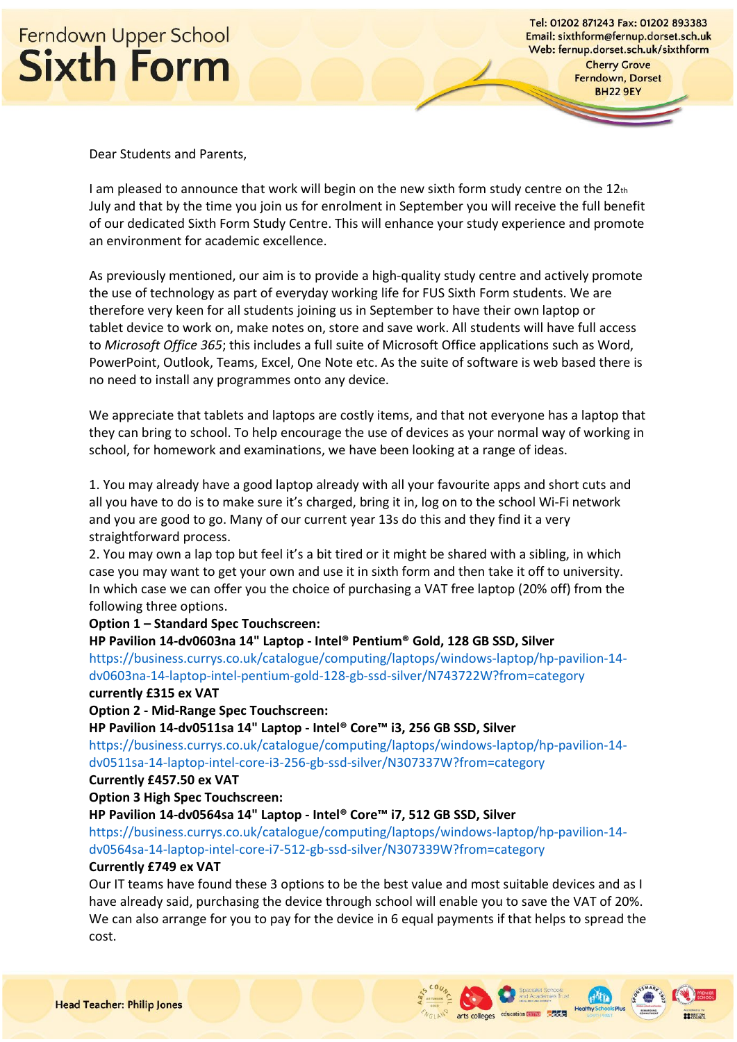

Tel: 01202 871243 Fax: 01202 893383 Email: sixthform@fernup.dorset.sch.uk Web: fernup.dorset.sch.uk/sixthform

> **Cherry Grove** Ferndown, Dorset **BH22 9EY**

Dear Students and Parents,

I am pleased to announce that work will begin on the new sixth form study centre on the  $12<sub>th</sub>$ July and that by the time you join us for enrolment in September you will receive the full benefit of our dedicated Sixth Form Study Centre. This will enhance your study experience and promote an environment for academic excellence.

As previously mentioned, our aim is to provide a high-quality study centre and actively promote the use of technology as part of everyday working life for FUS Sixth Form students. We are therefore very keen for all students joining us in September to have their own laptop or tablet device to work on, make notes on, store and save work. All students will have full access to *Microsoft Office 365*; this includes a full suite of Microsoft Office applications such as Word, PowerPoint, Outlook, Teams, Excel, One Note etc. As the suite of software is web based there is no need to install any programmes onto any device.

We appreciate that tablets and laptops are costly items, and that not everyone has a laptop that they can bring to school. To help encourage the use of devices as your normal way of working in school, for homework and examinations, we have been looking at a range of ideas.

1. You may already have a good laptop already with all your favourite apps and short cuts and all you have to do is to make sure it's charged, bring it in, log on to the school Wi-Fi network and you are good to go. Many of our current year 13s do this and they find it a very straightforward process.

2. You may own a lap top but feel it's a bit tired or it might be shared with a sibling, in which case you may want to get your own and use it in sixth form and then take it off to university. In which case we can offer you the choice of purchasing a VAT free laptop (20% off) from the following three options.

### **Option 1 – Standard Spec Touchscreen:**

#### **HP Pavilion 14-dv0603na 14" Laptop - Intel® Pentium® Gold, 128 GB SSD, Silver**

https://business.currys.co.uk/catalogue/computing/laptops/windows-laptop/hp-pavilion-14 dv0603na-14-laptop-intel-pentium-gold-128-gb-ssd-silver/N743722W?from=category **currently £315 ex VAT**

# **Option 2 - Mid-Range Spec Touchscreen:**

**HP Pavilion 14-dv0511sa 14" Laptop - Intel® Core™ i3, 256 GB SSD, Silver**

https://business.currys.co.uk/catalogue/computing/laptops/windows-laptop/hp-pavilion-14 dv0511sa-14-laptop-intel-core-i3-256-gb-ssd-silver/N307337W?from=category

#### **Currently £457.50 ex VAT**

## **Option 3 High Spec Touchscreen:**

#### **HP Pavilion 14-dv0564sa 14" Laptop - Intel® Core™ i7, 512 GB SSD, Silver**

https://business.currys.co.uk/catalogue/computing/laptops/windows-laptop/hp-pavilion-14 dv0564sa-14-laptop-intel-core-i7-512-gb-ssd-silver/N307339W?from=category

# **Currently £749 ex VAT**

Our IT teams have found these 3 options to be the best value and most suitable devices and as I have already said, purchasing the device through school will enable you to save the VAT of 20%. We can also arrange for you to pay for the device in 6 equal payments if that helps to spread the cost.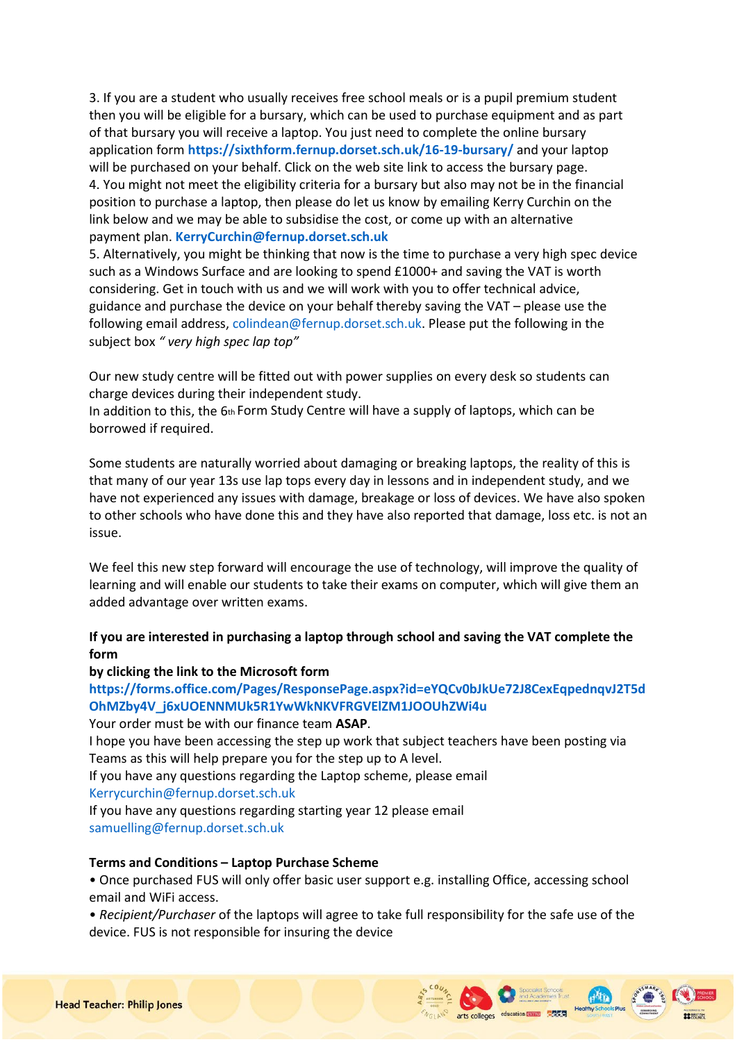3. If you are a student who usually receives free school meals or is a pupil premium student then you will be eligible for a bursary, which can be used to purchase equipment and as part of that bursary you will receive a laptop. You just need to complete the online bursary application form **https://sixthform.fernup.dorset.sch.uk/16-19-bursary/** and your laptop will be purchased on your behalf. Click on the web site link to access the bursary page. 4. You might not meet the eligibility criteria for a bursary but also may not be in the financial position to purchase a laptop, then please do let us know by emailing Kerry Curchin on the link below and we may be able to subsidise the cost, or come up with an alternative payment plan. **KerryCurchin@fernup.dorset.sch.uk**

5. Alternatively, you might be thinking that now is the time to purchase a very high spec device such as a Windows Surface and are looking to spend £1000+ and saving the VAT is worth considering. Get in touch with us and we will work with you to offer technical advice, guidance and purchase the device on your behalf thereby saving the VAT – please use the following email address, colindean@fernup.dorset.sch.uk. Please put the following in the subject box *" very high spec lap top"*

Our new study centre will be fitted out with power supplies on every desk so students can charge devices during their independent study.

In addition to this, the 6th Form Study Centre will have a supply of laptops, which can be borrowed if required.

Some students are naturally worried about damaging or breaking laptops, the reality of this is that many of our year 13s use lap tops every day in lessons and in independent study, and we have not experienced any issues with damage, breakage or loss of devices. We have also spoken to other schools who have done this and they have also reported that damage, loss etc. is not an issue.

We feel this new step forward will encourage the use of technology, will improve the quality of learning and will enable our students to take their exams on computer, which will give them an added advantage over written exams.

# **If you are interested in purchasing a laptop through school and saving the VAT complete the form**

## **by clicking the link to the Microsoft form**

# **https://forms.office.com/Pages/ResponsePage.aspx?id=eYQCv0bJkUe72J8CexEqpednqvJ2T5d OhMZby4V\_j6xUOENNMUk5R1YwWkNKVFRGVElZM1JOOUhZWi4u**

Your order must be with our finance team **ASAP**.

I hope you have been accessing the step up work that subject teachers have been posting via Teams as this will help prepare you for the step up to A level.

If you have any questions regarding the Laptop scheme, please email

Kerrycurchin@fernup.dorset.sch.uk

If you have any questions regarding starting year 12 please email samuelling@fernup.dorset.sch.uk

## **Terms and Conditions – Laptop Purchase Scheme**

• Once purchased FUS will only offer basic user support e.g. installing Office, accessing school email and WiFi access.

• *Recipient/Purchaser* of the laptops will agree to take full responsibility for the safe use of the device. FUS is not responsible for insuring the device